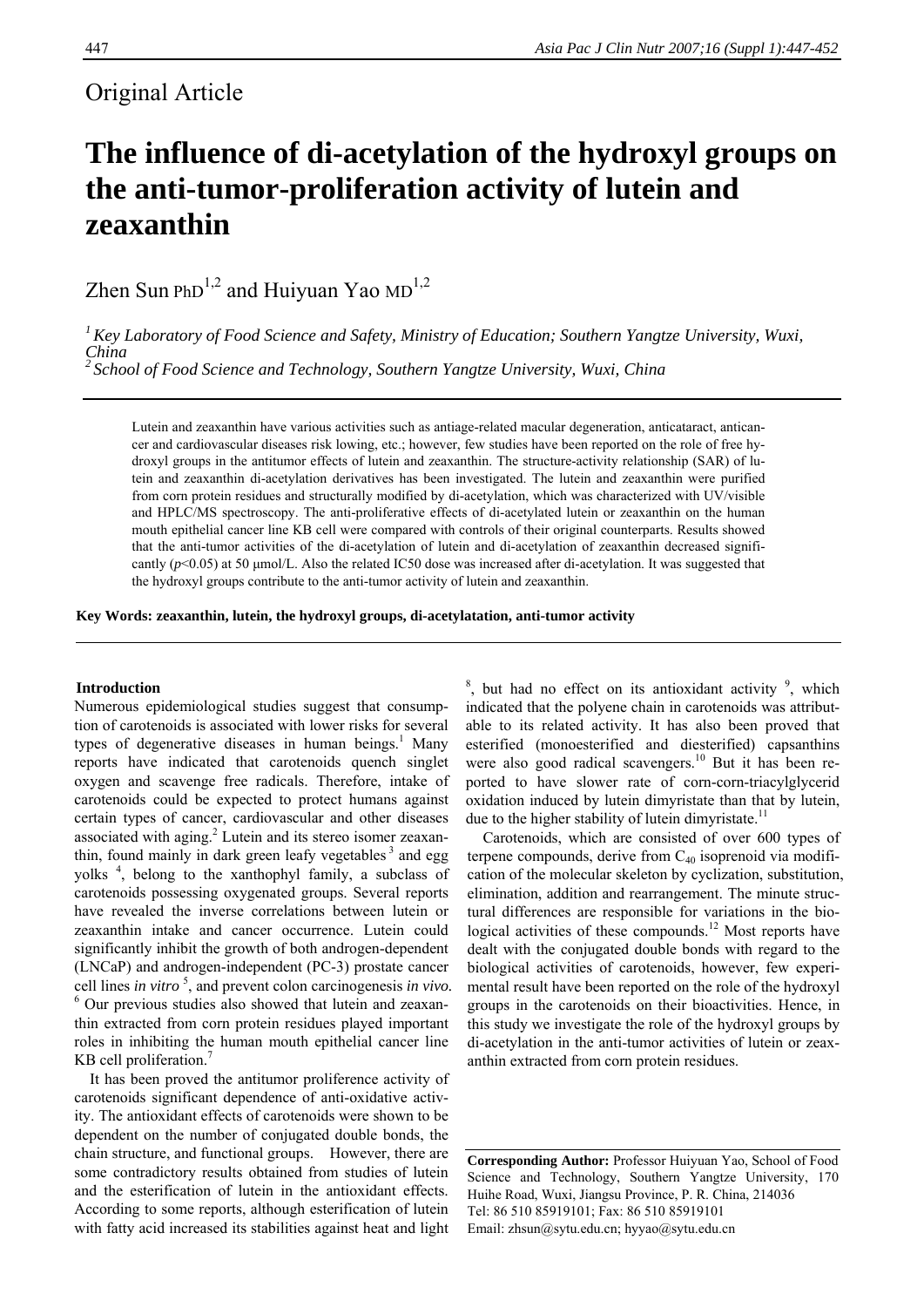# Original Article

# **The influence of di-acetylation of the hydroxyl groups on the anti-tumor-proliferation activity of lutein and zeaxanthin**

Zhen Sun PhD<sup>1,2</sup> and Huiyuan Yao MD<sup>1,2</sup>

*1Key Laboratory of Food Science and Safety, Ministry of Education; Southern Yangtze University, Wuxi, China* 

*<sup>2</sup> School of Food Science and Technology, Southern Yangtze University, Wuxi, China* 

Lutein and zeaxanthin have various activities such as antiage-related macular degeneration, anticataract, anticancer and cardiovascular diseases risk lowing, etc.; however, few studies have been reported on the role of free hydroxyl groups in the antitumor effects of lutein and zeaxanthin. The structure-activity relationship (SAR) of lutein and zeaxanthin di-acetylation derivatives has been investigated. The lutein and zeaxanthin were purified from corn protein residues and structurally modified by di-acetylation, which was characterized with UV/visible and HPLC/MS spectroscopy. The anti-proliferative effects of di-acetylated lutein or zeaxanthin on the human mouth epithelial cancer line KB cell were compared with controls of their original counterparts. Results showed that the anti-tumor activities of the di-acetylation of lutein and di-acetylation of zeaxanthin decreased significantly (*p*<0.05) at 50 μmol/L. Also the related IC50 dose was increased after di-acetylation. It was suggested that the hydroxyl groups contribute to the anti-tumor activity of lutein and zeaxanthin.

**Key Words: zeaxanthin, lutein, the hydroxyl groups, di-acetylatation, anti-tumor activity** 

#### **Introduction**

Numerous epidemiological studies suggest that consumption of carotenoids is associated with lower risks for several types of degenerative diseases in human beings.<sup>1</sup> Many reports have indicated that carotenoids quench singlet oxygen and scavenge free radicals. Therefore, intake of carotenoids could be expected to protect humans against certain types of cancer, cardiovascular and other diseases associated with aging.<sup>2</sup> Lutein and its stereo isomer zeaxanthin, found mainly in dark green leafy vegetables  $3$  and egg yolks <sup>4</sup> , belong to the xanthophyl family, a subclass of carotenoids possessing oxygenated groups. Several reports have revealed the inverse correlations between lutein or zeaxanthin intake and cancer occurrence. Lutein could significantly inhibit the growth of both androgen-dependent (LNCaP) and androgen-independent (PC-3) prostate cancer cell lines *in vitro* <sup>5</sup> , and prevent colon carcinogenesis *in vivo.* 6 Our previous studies also showed that lutein and zeaxanthin extracted from corn protein residues played important roles in inhibiting the human mouth epithelial cancer line KB cell proliferation.<sup>7</sup>

It has been proved the antitumor proliference activity of carotenoids significant dependence of anti-oxidative activity. The antioxidant effects of carotenoids were shown to be dependent on the number of conjugated double bonds, the chain structure, and functional groups. However, there are some contradictory results obtained from studies of lutein and the esterification of lutein in the antioxidant effects. According to some reports, although esterification of lutein with fatty acid increased its stabilities against heat and light

 $8$ , but had no effect on its antioxidant activity  $9$ , which indicated that the polyene chain in carotenoids was attributable to its related activity. It has also been proved that esterified (monoesterified and diesterified) capsanthins were also good radical scavengers.<sup>10</sup> But it has been reported to have slower rate of corn-corn-triacylglycerid oxidation induced by lutein dimyristate than that by lutein, due to the higher stability of lutein dimyristate.<sup>11</sup>

Carotenoids, which are consisted of over 600 types of terpene compounds, derive from C40 isoprenoid via modification of the molecular skeleton by cyclization, substitution, elimination, addition and rearrangement. The minute structural differences are responsible for variations in the biological activities of these compounds.<sup>12</sup> Most reports have dealt with the conjugated double bonds with regard to the biological activities of carotenoids, however, few experimental result have been reported on the role of the hydroxyl groups in the carotenoids on their bioactivities. Hence, in this study we investigate the role of the hydroxyl groups by di-acetylation in the anti-tumor activities of lutein or zeaxanthin extracted from corn protein residues.

**Corresponding Author:** Professor Huiyuan Yao, School of Food Science and Technology, Southern Yangtze University, 170 Huihe Road, Wuxi, Jiangsu Province, P. R. China, 214036 Tel: 86 510 85919101; Fax: 86 510 85919101 Email: zhsun@sytu.edu.cn; hyyao@sytu.edu.cn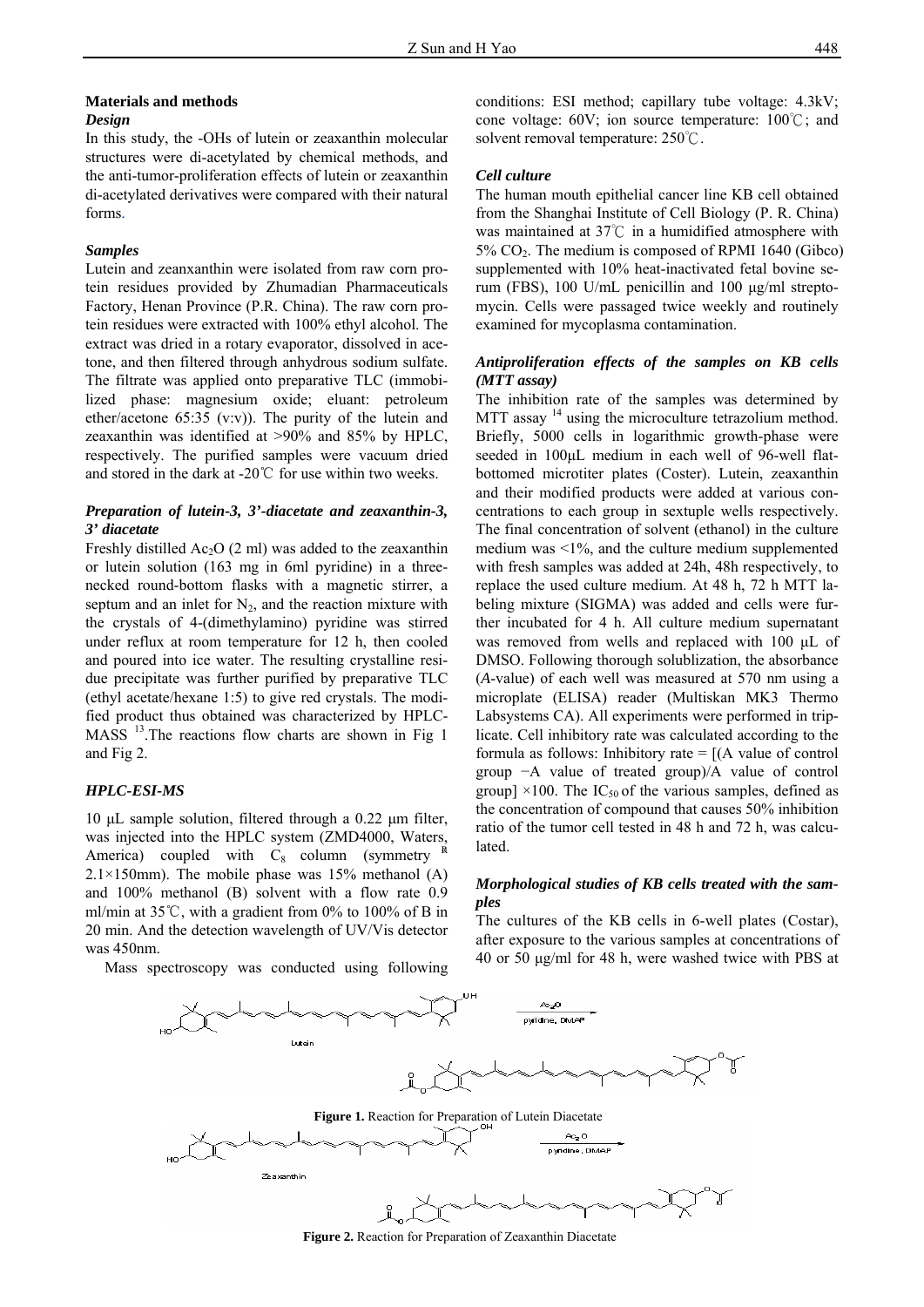#### **Materials and methods**  *Design*

In this study, the -OHs of lutein or zeaxanthin molecular structures were di-acetylated by chemical methods, and the anti-tumor-proliferation effects of lutein or zeaxanthin di-acetylated derivatives were compared with their natural forms.

#### *Samples*

Lutein and zeanxanthin were isolated from raw corn protein residues provided by Zhumadian Pharmaceuticals Factory, Henan Province (P.R. China). The raw corn protein residues were extracted with 100% ethyl alcohol. The extract was dried in a rotary evaporator, dissolved in acetone, and then filtered through anhydrous sodium sulfate. The filtrate was applied onto preparative TLC (immobilized phase: magnesium oxide; eluant: petroleum ether/acetone 65:35 (v:v)). The purity of the lutein and zeaxanthin was identified at >90% and 85% by HPLC, respectively. The purified samples were vacuum dried and stored in the dark at -20℃ for use within two weeks.

# *Preparation of lutein-3, 3'-diacetate and zeaxanthin-3, 3' diacetate*

Freshly distilled  $Ac_2O(2 \text{ ml})$  was added to the zeaxanthin or lutein solution (163 mg in 6ml pyridine) in a threenecked round-bottom flasks with a magnetic stirrer, a septum and an inlet for  $N_2$ , and the reaction mixture with the crystals of 4-(dimethylamino) pyridine was stirred under reflux at room temperature for 12 h, then cooled and poured into ice water. The resulting crystalline residue precipitate was further purified by preparative TLC (ethyl acetate/hexane 1:5) to give red crystals. The modified product thus obtained was characterized by HPLC-MASS<sup>13</sup>.The reactions flow charts are shown in Fig 1 and Fig 2.

#### *HPLC-ESI-MS*

10 μL sample solution, filtered through a 0.22 μm filter, was injected into the HPLC system (ZMD4000, Waters, America) coupled with  $C_8$  column (symmetry  $2.1 \times 150$ mm). The mobile phase was 15% methanol (A) and 100% methanol (B) solvent with a flow rate 0.9 ml/min at 35℃, with a gradient from 0% to 100% of B in 20 min. And the detection wavelength of UV/Vis detector was 450nm.

Mass spectroscopy was conducted using following

conditions: ESI method; capillary tube voltage: 4.3kV; cone voltage: 60V; ion source temperature: 100℃; and solvent removal temperature: 250℃.

#### *Cell culture*

The human mouth epithelial cancer line KB cell obtained from the Shanghai Institute of Cell Biology (P. R. China) was maintained at 37℃ in a humidified atmosphere with  $5\%$  CO<sub>2</sub>. The medium is composed of RPMI 1640 (Gibco) supplemented with 10% heat-inactivated fetal bovine serum (FBS), 100 U/mL penicillin and 100 μg/ml streptomycin. Cells were passaged twice weekly and routinely examined for mycoplasma contamination.

# *Antiproliferation effects of the samples on KB cells (MTT assay)*

The inhibition rate of the samples was determined by MTT assay <sup>14</sup> using the microculture tetrazolium method. Briefly, 5000 cells in logarithmic growth-phase were seeded in 100μL medium in each well of 96-well flatbottomed microtiter plates (Coster). Lutein, zeaxanthin and their modified products were added at various concentrations to each group in sextuple wells respectively. The final concentration of solvent (ethanol) in the culture medium was  $\leq 1\%$ , and the culture medium supplemented with fresh samples was added at 24h, 48h respectively, to replace the used culture medium. At 48 h, 72 h MTT labeling mixture (SIGMA) was added and cells were further incubated for 4 h. All culture medium supernatant was removed from wells and replaced with 100 μL of DMSO. Following thorough solublization, the absorbance (*A*-value) of each well was measured at 570 nm using a microplate (ELISA) reader (Multiskan MK3 Thermo Labsystems CA). All experiments were performed in triplicate. Cell inhibitory rate was calculated according to the formula as follows: Inhibitory rate  $= [(A \text{ value of control})]$ group −A value of treated group)/A value of control group]  $\times$ 100. The IC<sub>50</sub> of the various samples, defined as the concentration of compound that causes 50% inhibition ratio of the tumor cell tested in 48 h and 72 h, was calculated.

# *Morphological studies of KB cells treated with the samples*

The cultures of the KB cells in 6-well plates (Costar), after exposure to the various samples at concentrations of 40 or 50 μg/ml for 48 h, were washed twice with PBS at



 **Figure 2.** Reaction for Preparation of Zeaxanthin Diacetate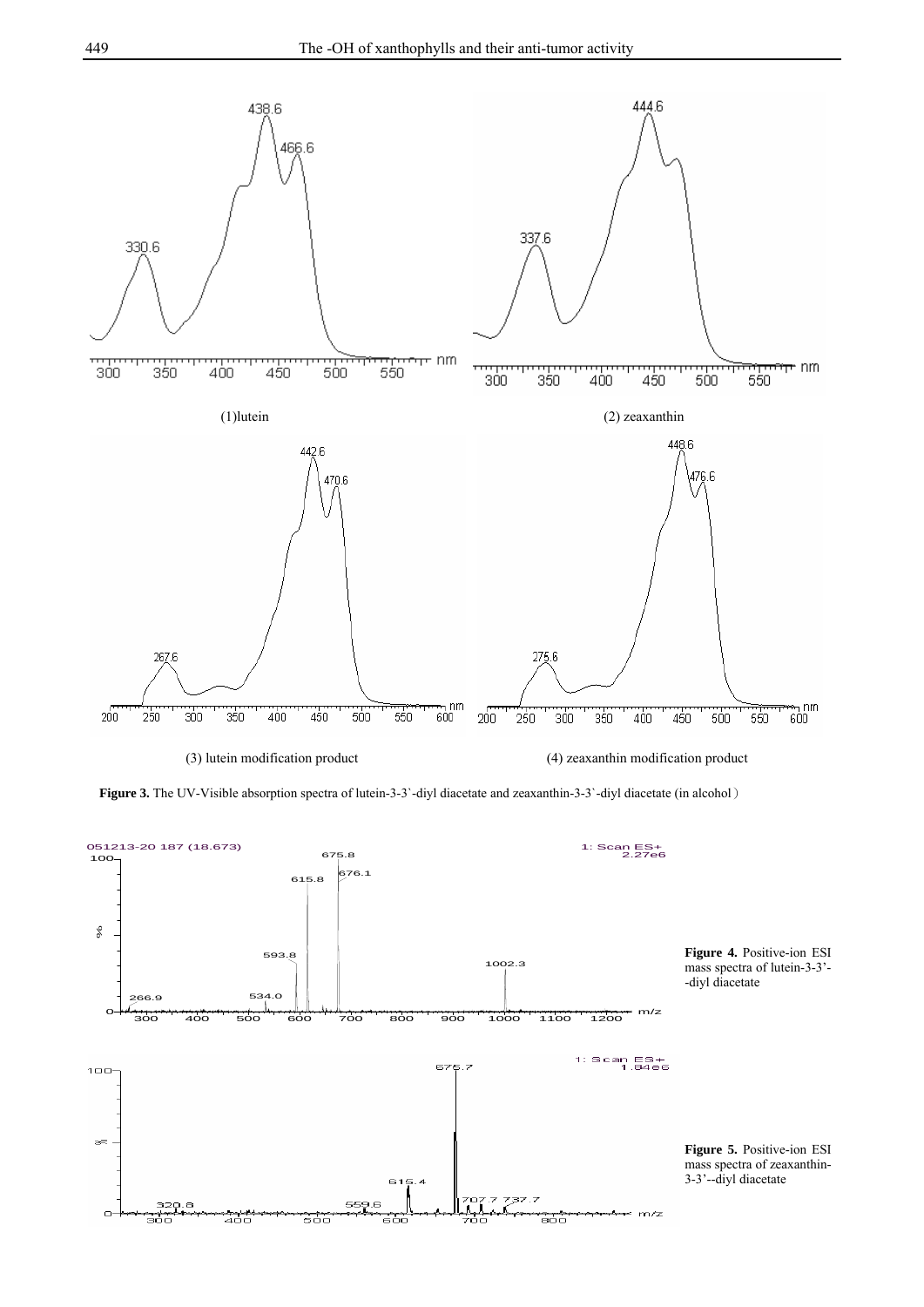

**Figure 3.** The UV-Visible absorption spectra of lutein-3-3'-diyl diacetate and zeaxanthin-3-3'-diyl diacetate (in alcohol)

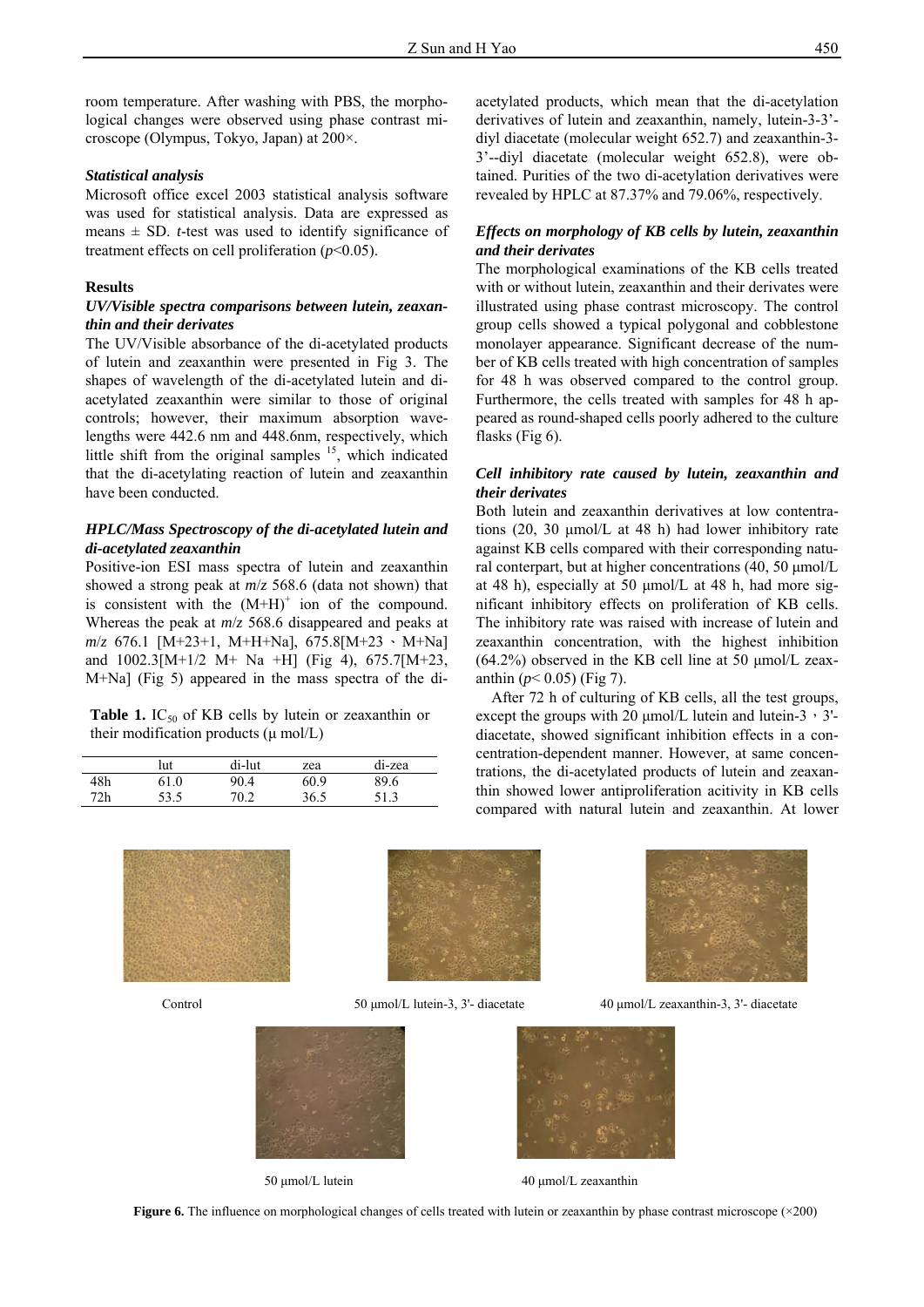room temperature. After washing with PBS, the morphological changes were observed using phase contrast microscope (Olympus, Tokyo, Japan) at 200×.

# *Statistical analysis*

Microsoft office excel 2003 statistical analysis software was used for statistical analysis. Data are expressed as means  $\pm$  SD. *t*-test was used to identify significance of treatment effects on cell proliferation  $(p<0.05)$ .

#### **Results**

#### *UV/Visible spectra comparisons between lutein, zeaxanthin and their derivates*

The UV/Visible absorbance of the di-acetylated products of lutein and zeaxanthin were presented in Fig 3. The shapes of wavelength of the di-acetylated lutein and diacetylated zeaxanthin were similar to those of original controls; however, their maximum absorption wavelengths were 442.6 nm and 448.6nm, respectively, which little shift from the original samples  $15$ , which indicated that the di-acetylating reaction of lutein and zeaxanthin have been conducted.

# *HPLC/Mass Spectroscopy of the di-acetylated lutein and di-acetylated zeaxanthin*

Positive-ion ESI mass spectra of lutein and zeaxanthin showed a strong peak at *m*/*z* 568.6 (data not shown) that is consistent with the  $(M+H)^+$  ion of the compound. Whereas the peak at *m*/*z* 568.6 disappeared and peaks at *m*/*z* 676.1 [M+23+1, M+H+Na], 675.8[M+23、M+Na] and 1002.3[M+1/2 M+ Na +H] (Fig 4), 675.7[M+23, M+Na] (Fig 5) appeared in the mass spectra of the di-

**Table 1.** IC<sub>50</sub> of KB cells by lutein or zeaxanthin or their modification products  $(\mu \text{ mol/L})$ 

|     | lut  | di-lut | zea  | di-zea |
|-----|------|--------|------|--------|
| 48h | 1.0  | 0.4    | 60.9 | 89.6   |
| 72h | 53 5 | ∼ ∩ר   | 36.5 |        |

acetylated products, which mean that the di-acetylation derivatives of lutein and zeaxanthin, namely, lutein-3-3' diyl diacetate (molecular weight 652.7) and zeaxanthin-3- 3'--diyl diacetate (molecular weight 652.8), were obtained. Purities of the two di-acetylation derivatives were revealed by HPLC at 87.37% and 79.06%, respectively.

# *Effects on morphology of KB cells by lutein, zeaxanthin and their derivates*

The morphological examinations of the KB cells treated with or without lutein, zeaxanthin and their derivates were illustrated using phase contrast microscopy. The control group cells showed a typical polygonal and cobblestone monolayer appearance. Significant decrease of the number of KB cells treated with high concentration of samples for 48 h was observed compared to the control group. Furthermore, the cells treated with samples for 48 h appeared as round-shaped cells poorly adhered to the culture flasks (Fig 6).

# *Cell inhibitory rate caused by lutein, zeaxanthin and their derivates*

Both lutein and zeaxanthin derivatives at low contentrations (20, 30 μmol/L at 48 h) had lower inhibitory rate against KB cells compared with their corresponding natural conterpart, but at higher concentrations (40, 50 μmol/L at 48 h), especially at 50 μmol/L at 48 h, had more significant inhibitory effects on proliferation of KB cells. The inhibitory rate was raised with increase of lutein and zeaxanthin concentration, with the highest inhibition  $(64.2\%)$  observed in the KB cell line at 50 µmol/L zeaxanthin  $(p < 0.05)$  (Fig 7).

After 72 h of culturing of KB cells, all the test groups, except the groups with 20  $\mu$ mol/L lutein and lutein-3, 3'diacetate, showed significant inhibition effects in a concentration-dependent manner. However, at same concentrations, the di-acetylated products of lutein and zeaxanthin showed lower antiproliferation acitivity in KB cells compared with natural lutein and zeaxanthin. At lower





50 μmol/L lutein 40 μmol/L zeaxanthin



I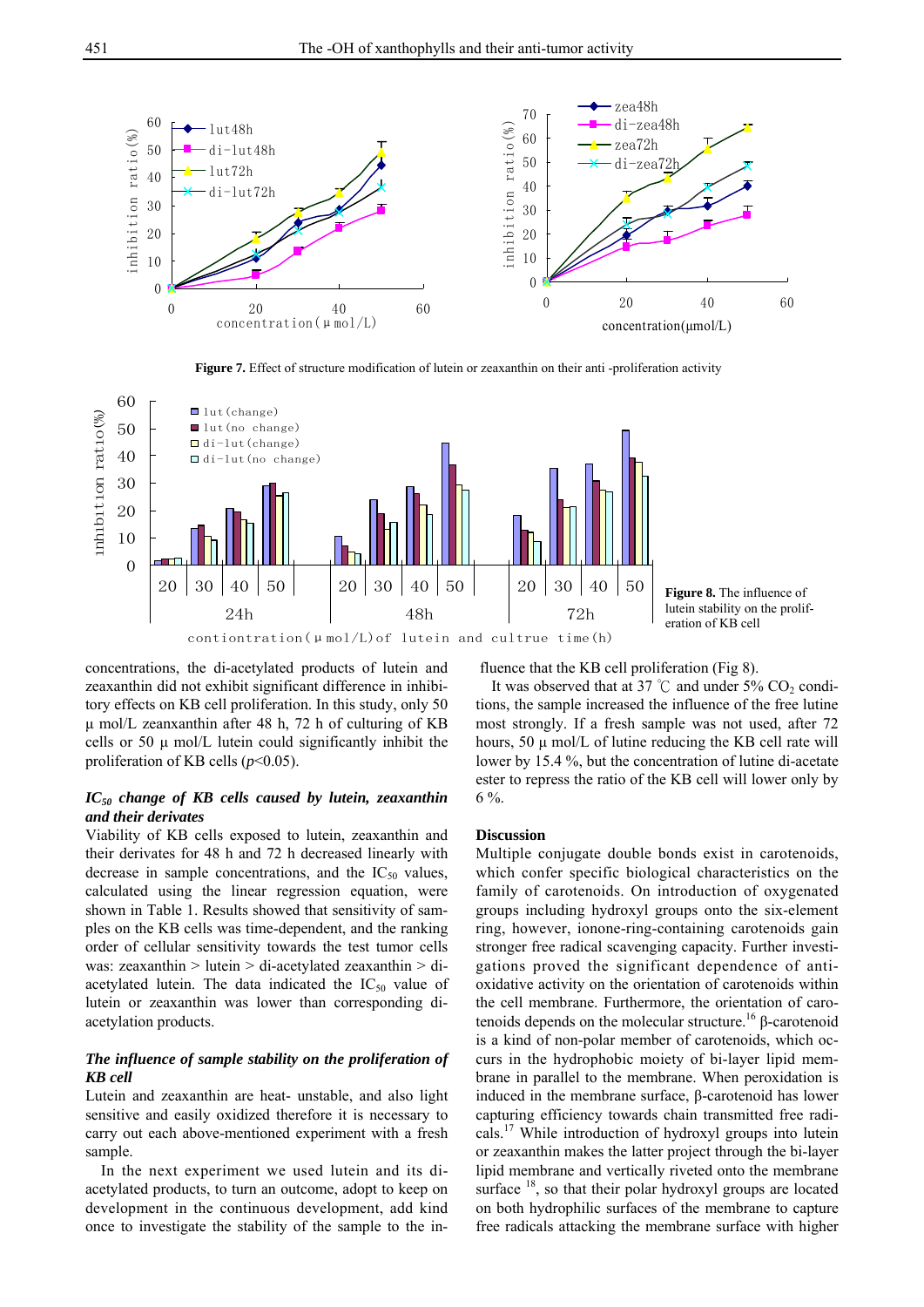

**Figure 7.** Effect of structure modification of lutein or zeaxanthin on their anti -proliferation activity



contiontration( $\mu$ mol/L)of lutein and cultrue time(h)

**Figure 8.** The influence of lutein stability on the proliferation of KB cell

concentrations, the di-acetylated products of lutein and

zeaxanthin did not exhibit significant difference in inhibitory effects on KB cell proliferation. In this study, only 50 μ mol/L zeanxanthin after 48 h, 72 h of culturing of KB cells or 50 μ mol/L lutein could significantly inhibit the proliferation of KB cells (*p*<0.05).

# *IC50 change of KB cells caused by lutein, zeaxanthin and their derivates*

Viability of KB cells exposed to lutein, zeaxanthin and their derivates for 48 h and 72 h decreased linearly with decrease in sample concentrations, and the  $IC_{50}$  values, calculated using the linear regression equation, were shown in Table 1. Results showed that sensitivity of samples on the KB cells was time-dependent, and the ranking order of cellular sensitivity towards the test tumor cells was: zeaxanthin > lutein > di-acetylated zeaxanthin > diacetylated lutein. The data indicated the  $IC_{50}$  value of lutein or zeaxanthin was lower than corresponding diacetylation products.

# *The influence of sample stability on the proliferation of KB cell*

Lutein and zeaxanthin are heat- unstable, and also light sensitive and easily oxidized therefore it is necessary to carry out each above-mentioned experiment with a fresh sample.

In the next experiment we used lutein and its diacetylated products, to turn an outcome, adopt to keep on development in the continuous development, add kind once to investigate the stability of the sample to the influence that the KB cell proliferation (Fig 8).

It was observed that at 37 °C and under  $5\%$  CO<sub>2</sub> conditions, the sample increased the influence of the free lutine most strongly. If a fresh sample was not used, after 72 hours,  $50 \mu$  mol/L of lutine reducing the KB cell rate will lower by 15.4 %, but the concentration of lutine di-acetate ester to repress the ratio of the KB cell will lower only by 6 %.

#### **Discussion**

Multiple conjugate double bonds exist in carotenoids, which confer specific biological characteristics on the family of carotenoids. On introduction of oxygenated groups including hydroxyl groups onto the six-element ring, however, ionone-ring-containing carotenoids gain stronger free radical scavenging capacity. Further investigations proved the significant dependence of antioxidative activity on the orientation of carotenoids within the cell membrane. Furthermore, the orientation of carotenoids depends on the molecular structure.<sup>16</sup> β-carotenoid is a kind of non-polar member of carotenoids, which occurs in the hydrophobic moiety of bi-layer lipid membrane in parallel to the membrane. When peroxidation is induced in the membrane surface, β-carotenoid has lower capturing efficiency towards chain transmitted free radicals.17 While introduction of hydroxyl groups into lutein or zeaxanthin makes the latter project through the bi-layer lipid membrane and vertically riveted onto the membrane surface <sup>18</sup>, so that their polar hydroxyl groups are located on both hydrophilic surfaces of the membrane to capture free radicals attacking the membrane surface with higher